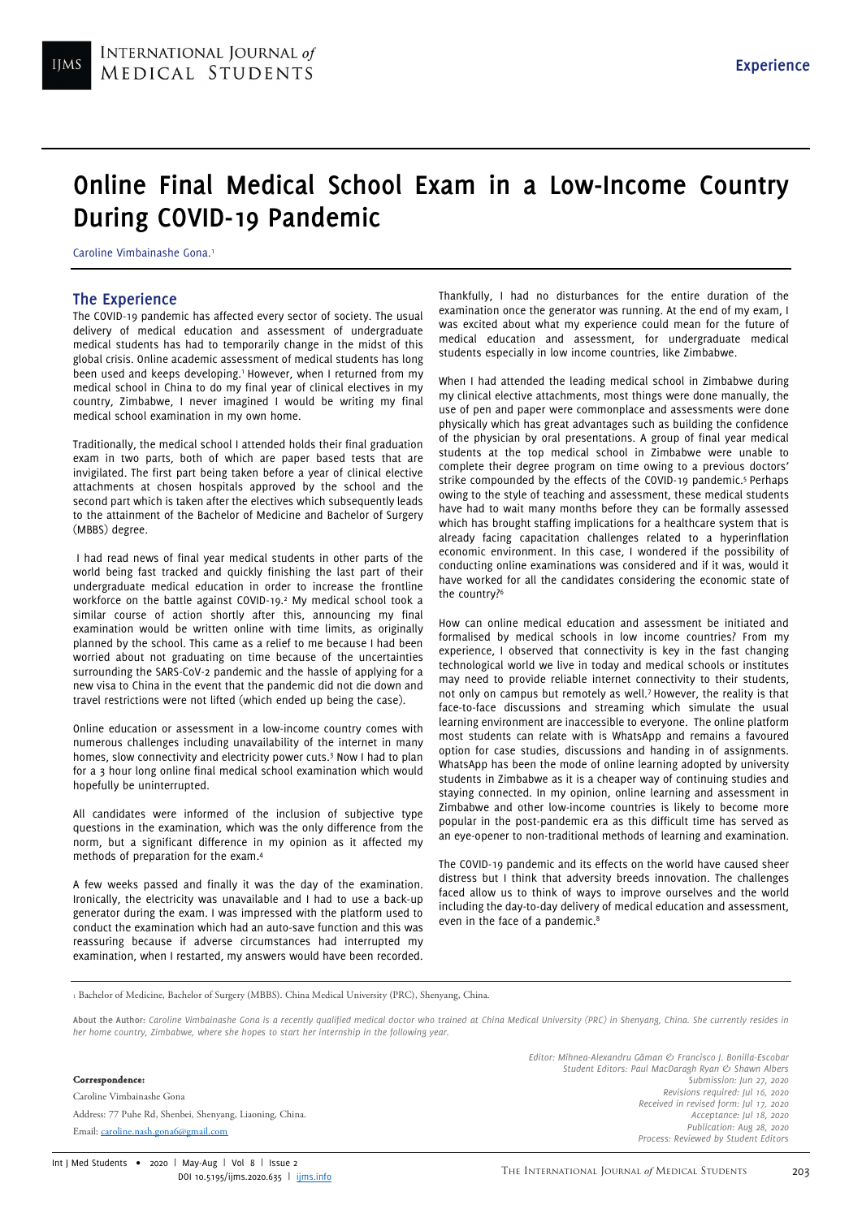# Online Final Medical School Exam in a Low-Income Country During COVID-19 Pandemic

Caroline Vimbainashe Gona.<sup>1</sup>

## The Experience

The COVID-19 pandemic has affected every sector of society. The usual delivery of medical education and assessment of undergraduate medical students has had to temporarily change in the midst of this global crisis. Online academic assessment of medical students has long been used and keeps developing.<sup>1</sup> However, when I returned from my medical school in China to do my final year of clinical electives in my country, Zimbabwe, I never imagined I would be writing my final medical school examination in my own home.

Traditionally, the medical school I attended holds their final graduation exam in two parts, both of which are paper based tests that are invigilated. The first part being taken before a year of clinical elective attachments at chosen hospitals approved by the school and the second part which is taken after the electives which subsequently leads to the attainment of the Bachelor of Medicine and Bachelor of Surgery (MBBS) degree.

 I had read news of final year medical students in other parts of the world being fast tracked and quickly finishing the last part of their undergraduate medical education in order to increase the frontline workforce on the battle against COVID-19.<sup>2</sup> My medical school took a similar course of action shortly after this, announcing my final examination would be written online with time limits, as originally planned by the school. This came as a relief to me because I had been worried about not graduating on time because of the uncertainties surrounding the SARS-CoV-2 pandemic and the hassle of applying for a new visa to China in the event that the pandemic did not die down and travel restrictions were not lifted (which ended up being the case).

Online education or assessment in a low-income country comes with numerous challenges including unavailability of the internet in many homes, slow connectivity and electricity power cuts.<sup>3</sup> Now I had to plan for a 3 hour long online final medical school examination which would hopefully be uninterrupted.

All candidates were informed of the inclusion of subjective type questions in the examination, which was the only difference from the norm, but a significant difference in my opinion as it affected my methods of preparation for the exam.<sup>4</sup>

A few weeks passed and finally it was the day of the examination. Ironically, the electricity was unavailable and I had to use a back-up generator during the exam. I was impressed with the platform used to conduct the examination which had an auto-save function and this was reassuring because if adverse circumstances had interrupted my examination, when I restarted, my answers would have been recorded.

Thankfully, I had no disturbances for the entire duration of the examination once the generator was running. At the end of my exam, I was excited about what my experience could mean for the future of medical education and assessment, for undergraduate medical students especially in low income countries, like Zimbabwe.

When I had attended the leading medical school in Zimbabwe during my clinical elective attachments, most things were done manually, the use of pen and paper were commonplace and assessments were done physically which has great advantages such as building the confidence of the physician by oral presentations. A group of final year medical students at the top medical school in Zimbabwe were unable to complete their degree program on time owing to a previous doctors' strike compounded by the effects of the COVID-19 pandemic.<sup>5</sup> Perhaps owing to the style of teaching and assessment, these medical students have had to wait many months before they can be formally assessed which has brought staffing implications for a healthcare system that is already facing capacitation challenges related to a hyperinflation economic environment. In this case, I wondered if the possibility of conducting online examinations was considered and if it was, would it have worked for all the candidates considering the economic state of the country?<sup>6</sup>

How can online medical education and assessment be initiated and formalised by medical schools in low income countries? From my experience, I observed that connectivity is key in the fast changing technological world we live in today and medical schools or institutes may need to provide reliable internet connectivity to their students, not only on campus but remotely as well.<sup>7</sup> However, the reality is that face-to-face discussions and streaming which simulate the usual learning environment are inaccessible to everyone. The online platform most students can relate with is WhatsApp and remains a favoured option for case studies, discussions and handing in of assignments. WhatsApp has been the mode of online learning adopted by university students in Zimbabwe as it is a cheaper way of continuing studies and staying connected. In my opinion, online learning and assessment in Zimbabwe and other low-income countries is likely to become more popular in the post-pandemic era as this difficult time has served as an eye-opener to non-traditional methods of learning and examination.

The COVID-19 pandemic and its effects on the world have caused sheer distress but I think that adversity breeds innovation. The challenges faced allow us to think of ways to improve ourselves and the world including the day-to-day delivery of medical education and assessment, even in the face of a pandemic.<sup>8</sup>

<sup>1</sup> Bachelor of Medicine, Bachelor of Surgery (MBBS). China Medical University (PRC), Shenyang, China.

About the Author: Caroline Vimbainashe Gona is a recently qualified medical doctor who trained at China Medical University (PRC) in Shenyang, China. She currently resides in her home country, Zimbabwe, where she hopes to start her internship in the following year.

#### **Correspondence**

Caroline Vimbainashe Gona Address: 77 Puhe Rd, Shenbei, Shenyang, Liaoning, China. Email: caroline.nash.gona6@gmail.com

Editor: Mihnea-Alexandru Găman & Francisco J. Bonilla-Escobar Student Editors: Paul MacDaragh Ryan  $\oslash$  Shawn Albers Submission: Jun 27, 2020 Revisions required: Jul 16, 2020 Received in revised form: Jul 17, 2020 Acceptance: Jul 18, 2020 Publication: Aug 28, 2020 Process: Reviewed by Student Editors